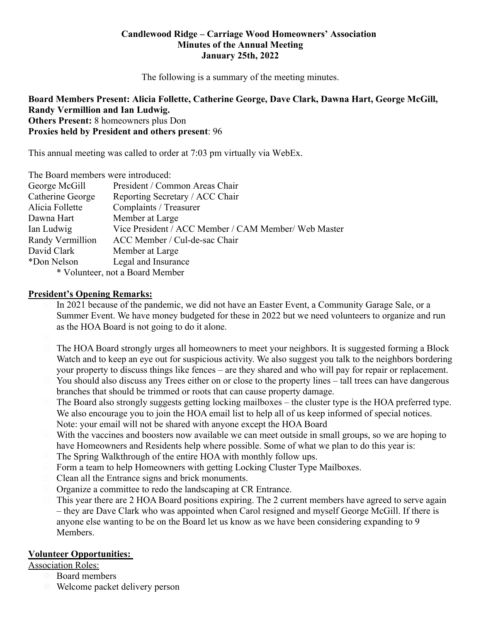## **Candlewood Ridge – Carriage Wood Homeowners' Association Minutes of the Annual Meeting January 25th, 2022**

The following is a summary of the meeting minutes.

## **Board Members Present: Alicia Follette, Catherine George, Dave Clark, Dawna Hart, George McGill, Randy Vermillion and Ian Ludwig. Others Present:** 8 homeowners plus Don

**Proxies held by President and others present**: 96

This annual meeting was called to order at 7:03 pm virtually via WebEx.

| The Board members were introduced: |                                                      |  |
|------------------------------------|------------------------------------------------------|--|
| George McGill                      | President / Common Areas Chair                       |  |
| Catherine George                   | Reporting Secretary / ACC Chair                      |  |
| Alicia Follette                    | Complaints / Treasurer                               |  |
| Dawna Hart                         | Member at Large                                      |  |
| Ian Ludwig                         | Vice President / ACC Member / CAM Member/ Web Master |  |
| Randy Vermillion                   | ACC Member / Cul-de-sac Chair                        |  |
| David Clark                        | Member at Large                                      |  |
| *Don Nelson                        | Legal and Insurance                                  |  |
| $*$ Valuntaar not a Doord Mambar   |                                                      |  |

Volunteer, not a Board Member

## **President's Opening Remarks:**

- In 2021 because of the pandemic, we did not have an Easter Event, a Community Garage Sale, or a Summer Event. We have money budgeted for these in 2022 but we need volunteers to organize and run as the HOA Board is not going to do it alone.
- The HOA Board strongly urges all homeowners to meet your neighbors. It is suggested forming a Block Watch and to keep an eye out for suspicious activity. We also suggest you talk to the neighbors bordering your property to discuss things like fences – are they shared and who will pay for repair or replacement.
- $\Box$  You should also discuss any Trees either on or close to the property lines tall trees can have dangerous branches that should be trimmed or roots that can cause property damage.
- The Board also strongly suggests getting locking mailboxes the cluster type is the HOA preferred type. We also encourage you to join the HOA email list to help all of us keep informed of special notices. Note: your email will not be shared with anyone except the HOA Board
- $\Box$  With the vaccines and boosters now available we can meet outside in small groups, so we are hoping to have Homeowners and Residents help where possible. Some of what we plan to do this year is:
- The Spring Walkthrough of the entire HOA with monthly follow ups.
- Form a team to help Homeowners with getting Locking Cluster Type Mailboxes.
- Clean all the Entrance signs and brick monuments.
- Organize a committee to redo the landscaping at CR Entrance.
- This year there are 2 HOA Board positions expiring. The 2 current members have agreed to serve again – they are Dave Clark who was appointed when Carol resigned and myself George McGill. If there is anyone else wanting to be on the Board let us know as we have been considering expanding to 9 Members.

## **Volunteer Opportunities:**

Association Roles:

- Board members
- Welcome packet delivery person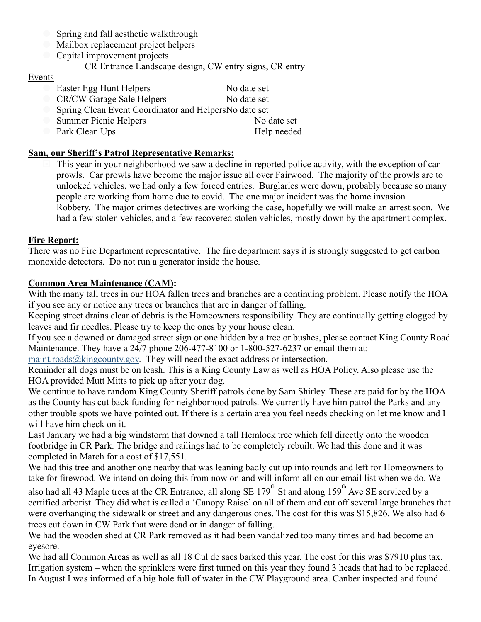- Spring and fall aesthetic walkthrough
- **Mailbox replacement project helpers**
- Capital improvement projects
	- CR Entrance Landscape design, CW entry signs, CR entry

#### **Events**

Easter Egg Hunt Helpers No date set CR/CW Garage Sale Helpers No date set Spring Clean Event Coordinator and Helpers No date set Summer Picnic Helpers No date set **Park Clean Ups** Help needed

## **Sam, our Sheriff's Patrol Representative Remarks:**

 This year in your neighborhood we saw a decline in reported police activity, with the exception of car prowls. Car prowls have become the major issue all over Fairwood. The majority of the prowls are to unlocked vehicles, we had only a few forced entries. Burglaries were down, probably because so many people are working from home due to covid. The one major incident was the home invasion Robbery. The major crimes detectives are working the case, hopefully we will make an arrest soon. We had a few stolen vehicles, and a few recovered stolen vehicles, mostly down by the apartment complex.

#### **Fire Report:**

There was no Fire Department representative. The fire department says it is strongly suggested to get carbon monoxide detectors. Do not run a generator inside the house.

## **Common Area Maintenance (CAM):**

With the many tall trees in our HOA fallen trees and branches are a continuing problem. Please notify the HOA if you see any or notice any trees or branches that are in danger of falling.

Keeping street drains clear of debris is the Homeowners responsibility. They are continually getting clogged by leaves and fir needles. Please try to keep the ones by your house clean.

If you see a downed or damaged street sign or one hidden by a tree or bushes, please contact King County Road Maintenance. They have a 24/7 phone 206-477-8100 or 1-800-527-6237 or email them at:

maint.roads@kingcounty.gov. They will need the exact address or intersection.

Reminder all dogs must be on leash. This is a King County Law as well as HOA Policy. Also please use the HOA provided Mutt Mitts to pick up after your dog.

We continue to have random King County Sheriff patrols done by Sam Shirley. These are paid for by the HOA as the County has cut back funding for neighborhood patrols. We currently have him patrol the Parks and any other trouble spots we have pointed out. If there is a certain area you feel needs checking on let me know and I will have him check on it.

Last January we had a big windstorm that downed a tall Hemlock tree which fell directly onto the wooden footbridge in CR Park. The bridge and railings had to be completely rebuilt. We had this done and it was completed in March for a cost of \$17,551.

We had this tree and another one nearby that was leaning badly cut up into rounds and left for Homeowners to take for firewood. We intend on doing this from now on and will inform all on our email list when we do. We

also had all 43 Maple trees at the CR Entrance, all along SE  $179^{th}$  St and along 159<sup>th</sup> Ave SE serviced by a certified arborist. They did what is called a 'Canopy Raise' on all of them and cut off several large branches that were overhanging the sidewalk or street and any dangerous ones. The cost for this was \$15,826. We also had 6 trees cut down in CW Park that were dead or in danger of falling.

We had the wooden shed at CR Park removed as it had been vandalized too many times and had become an eyesore.

We had all Common Areas as well as all 18 Cul de sacs barked this year. The cost for this was \$7910 plus tax. Irrigation system – when the sprinklers were first turned on this year they found 3 heads that had to be replaced. In August I was informed of a big hole full of water in the CW Playground area. Canber inspected and found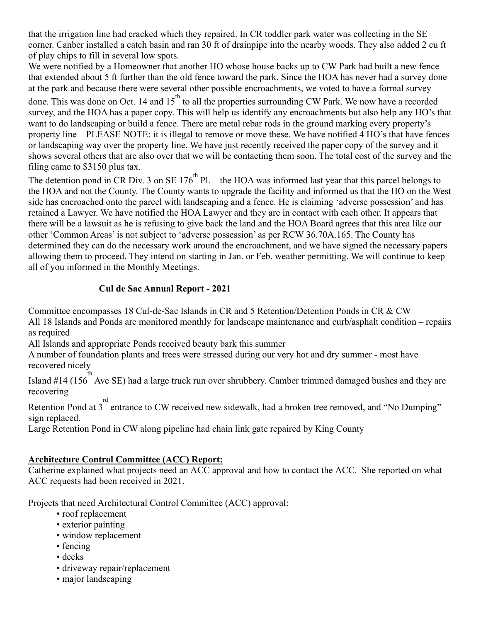that the irrigation line had cracked which they repaired. In CR toddler park water was collecting in the SE corner. Canber installed a catch basin and ran 30 ft of drainpipe into the nearby woods. They also added 2 cu ft of play chips to fill in several low spots.

We were notified by a Homeowner that another HO whose house backs up to CW Park had built a new fence that extended about 5 ft further than the old fence toward the park. Since the HOA has never had a survey done at the park and because there were several other possible encroachments, we voted to have a formal survey done. This was done on Oct. 14 and  $15<sup>th</sup>$  to all the properties surrounding CW Park. We now have a recorded survey, and the HOA has a paper copy. This will help us identify any encroachments but also help any HO's that want to do landscaping or build a fence. There are metal rebar rods in the ground marking every property's property line – PLEASE NOTE: it is illegal to remove or move these. We have notified 4 HO's that have fences or landscaping way over the property line. We have just recently received the paper copy of the survey and it shows several others that are also over that we will be contacting them soon. The total cost of the survey and the filing came to \$3150 plus tax.

The detention pond in CR Div. 3 on SE  $176<sup>th</sup>$  Pl. – the HOA was informed last year that this parcel belongs to the HOA and not the County. The County wants to upgrade the facility and informed us that the HO on the West side has encroached onto the parcel with landscaping and a fence. He is claiming 'adverse possession' and has retained a Lawyer. We have notified the HOA Lawyer and they are in contact with each other. It appears that there will be a lawsuit as he is refusing to give back the land and the HOA Board agrees that this area like our other 'Common Areas' is not subject to 'adverse possession' as per RCW 36.70A.165. The County has determined they can do the necessary work around the encroachment, and we have signed the necessary papers allowing them to proceed. They intend on starting in Jan. or Feb. weather permitting. We will continue to keep all of you informed in the Monthly Meetings.

## **Cul de Sac Annual Report - 2021**

Committee encompasses 18 Cul-de-Sac Islands in CR and 5 Retention/Detention Ponds in CR & CW All 18 Islands and Ponds are monitored monthly for landscape maintenance and curb/asphalt condition – repairs as required

All Islands and appropriate Ponds received beauty bark this summer

A number of foundation plants and trees were stressed during our very hot and dry summer - most have recovered nicely

Island #14 (156<sup>th</sup> Ave SE) had a large truck run over shrubbery. Camber trimmed damaged bushes and they are recovering

Retention Pond at 3<sup>rd</sup> entrance to CW received new sidewalk, had a broken tree removed, and "No Dumping" sign replaced.

Large Retention Pond in CW along pipeline had chain link gate repaired by King County

# **Architecture Control Committee (ACC) Report:**

Catherine explained what projects need an ACC approval and how to contact the ACC. She reported on what ACC requests had been received in 2021.

Projects that need Architectural Control Committee (ACC) approval:

- roof replacement
- exterior painting
- window replacement
- fencing
- decks
- driveway repair/replacement
- major landscaping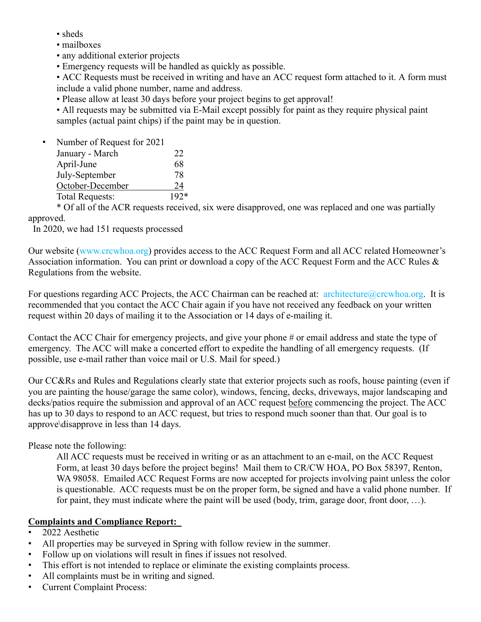- sheds
- mailboxes
- any additional exterior projects
- Emergency requests will be handled as quickly as possible.

• ACC Requests must be received in writing and have an ACC request form attached to it. A form must include a valid phone number, name and address.

• Please allow at least 30 days before your project begins to get approval!

• All requests may be submitted via E-Mail except possibly for paint as they require physical paint samples (actual paint chips) if the paint may be in question.

| Number of Request for 2021 |        |
|----------------------------|--------|
| January - March            | 22     |
| April-June                 | 68     |
| July-September             | 78     |
| October-December           | 24     |
| <b>Total Requests:</b>     | $192*$ |

 \* Of all of the ACR requests received, six were disapproved, one was replaced and one was partially approved.

In 2020, we had 151 requests processed

Our website (www.crcwhoa.org) provides access to the ACC Request Form and all ACC related Homeowner's Association information. You can print or download a copy of the ACC Request Form and the ACC Rules & Regulations from the website.

For questions regarding ACC Projects, the ACC Chairman can be reached at: architecture@crcwhoa.org. It is recommended that you contact the ACC Chair again if you have not received any feedback on your written request within 20 days of mailing it to the Association or 14 days of e-mailing it.

Contact the ACC Chair for emergency projects, and give your phone # or email address and state the type of emergency. The ACC will make a concerted effort to expedite the handling of all emergency requests. (If possible, use e-mail rather than voice mail or U.S. Mail for speed.)

Our CC&Rs and Rules and Regulations clearly state that exterior projects such as roofs, house painting (even if you are painting the house/garage the same color), windows, fencing, decks, driveways, major landscaping and decks/patios require the submission and approval of an ACC request before commencing the project. The ACC has up to 30 days to respond to an ACC request, but tries to respond much sooner than that. Our goal is to approve\disapprove in less than 14 days.

Please note the following:

All ACC requests must be received in writing or as an attachment to an e-mail, on the ACC Request Form, at least 30 days before the project begins! Mail them to CR/CW HOA, PO Box 58397, Renton, WA 98058. Emailed ACC Request Forms are now accepted for projects involving paint unless the color is questionable. ACC requests must be on the proper form, be signed and have a valid phone number. If for paint, they must indicate where the paint will be used (body, trim, garage door, front door, …).

## **Complaints and Compliance Report:**

- 2022 Aesthetic
- All properties may be surveyed in Spring with follow review in the summer.
- Follow up on violations will result in fines if issues not resolved.
- This effort is not intended to replace or eliminate the existing complaints process.
- All complaints must be in writing and signed.
- Current Complaint Process: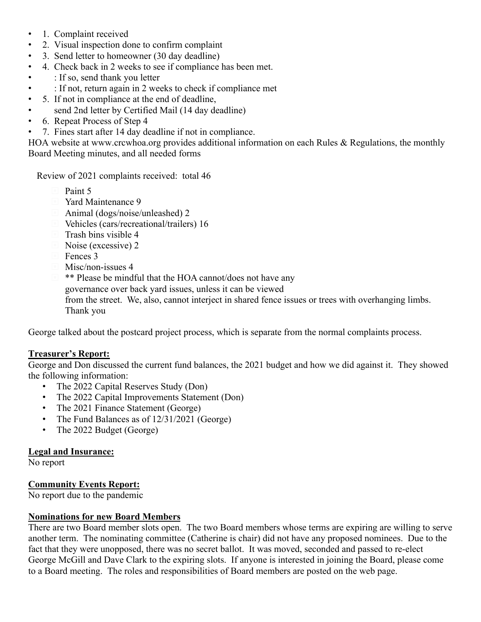- 1. Complaint received
- 2. Visual inspection done to confirm complaint
- 3. Send letter to homeowner (30 day deadline)
- 4. Check back in 2 weeks to see if compliance has been met.
- : If so, send thank you letter
- : If not, return again in 2 weeks to check if compliance met
- 5. If not in compliance at the end of deadline,
- send 2nd letter by Certified Mail (14 day deadline)
- 6. Repeat Process of Step 4
- 7. Fines start after 14 day deadline if not in compliance.

HOA website at www.crcwhoa.org provides additional information on each Rules & Regulations, the monthly Board Meeting minutes, and all needed forms

Review of 2021 complaints received: total 46

- Paint 5
- Yard Maintenance 9
- Animal (dogs/noise/unleashed) 2
- Vehicles (cars/recreational/trailers) 16
- $\Box$  Trash bins visible 4
- Noise (excessive) 2
- Fences 3
- $\blacksquare$  Misc/non-issues 4
- $\blacksquare$  \*\* Please be mindful that the HOA cannot/does not have any
	- governance over back yard issues, unless it can be viewed
	- from the street. We, also, cannot interject in shared fence issues or trees with overhanging limbs. Thank you

George talked about the postcard project process, which is separate from the normal complaints process.

## **Treasurer's Report:**

George and Don discussed the current fund balances, the 2021 budget and how we did against it. They showed the following information:

- The 2022 Capital Reserves Study (Don)
- The 2022 Capital Improvements Statement (Don)
- The 2021 Finance Statement (George)
- The Fund Balances as of  $12/31/2021$  (George)
- The 2022 Budget (George)

## **Legal and Insurance:**

No report

## **Community Events Report:**

No report due to the pandemic

## **Nominations for new Board Members**

There are two Board member slots open. The two Board members whose terms are expiring are willing to serve another term. The nominating committee (Catherine is chair) did not have any proposed nominees. Due to the fact that they were unopposed, there was no secret ballot. It was moved, seconded and passed to re-elect George McGill and Dave Clark to the expiring slots. If anyone is interested in joining the Board, please come to a Board meeting. The roles and responsibilities of Board members are posted on the web page.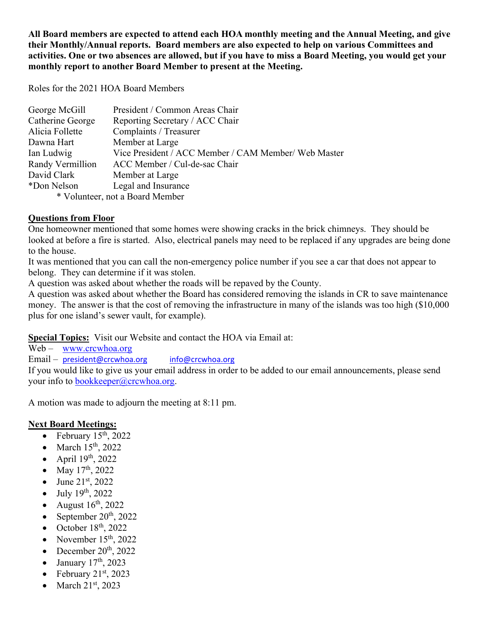**All Board members are expected to attend each HOA monthly meeting and the Annual Meeting, and give their Monthly/Annual reports. Board members are also expected to help on various Committees and activities. One or two absences are allowed, but if you have to miss a Board Meeting, you would get your monthly report to another Board Member to present at the Meeting.**

Roles for the 2021 HOA Board Members

| George McGill                   | President / Common Areas Chair                       |  |
|---------------------------------|------------------------------------------------------|--|
| Catherine George                | Reporting Secretary / ACC Chair                      |  |
| Alicia Follette                 | Complaints / Treasurer                               |  |
| Dawna Hart                      | Member at Large                                      |  |
| Ian Ludwig                      | Vice President / ACC Member / CAM Member/ Web Master |  |
| Randy Vermillion                | ACC Member / Cul-de-sac Chair                        |  |
| David Clark                     | Member at Large                                      |  |
| *Don Nelson                     | Legal and Insurance                                  |  |
| * Volunteer, not a Board Member |                                                      |  |

# **Questions from Floor**

One homeowner mentioned that some homes were showing cracks in the brick chimneys. They should be looked at before a fire is started. Also, electrical panels may need to be replaced if any upgrades are being done to the house.

It was mentioned that you can call the non-emergency police number if you see a car that does not appear to belong. They can determine if it was stolen.

A question was asked about whether the roads will be repaved by the County.

A question was asked about whether the Board has considered removing the islands in CR to save maintenance money. The answer is that the cost of removing the infrastructure in many of the islands was too high (\$10,000 plus for one island's sewer vault, for example).

**Special Topics:** Visit our Website and contact the HOA via Email at:

Web – www.crcwhoa.org

Email – president@crcwhoa.org info@crcwhoa.org

If you would like to give us your email address in order to be added to our email announcements, please send your info to bookkeeper@crcwhoa.org.

A motion was made to adjourn the meeting at 8:11 pm.

# **Next Board Meetings:**

- February  $15^{th}$ ,  $2022$
- March  $15<sup>th</sup>$ , 2022
- April  $19<sup>th</sup>$ , 2022
- May  $17^{th}$ , 2022
- June  $21^{st}$ , 2022
- $\bullet$  July 19<sup>th</sup>, 2022
- August  $16^{th}$ , 2022
- September  $20<sup>th</sup>$ , 2022
- October  $18<sup>th</sup>$ , 2022
- November  $15<sup>th</sup>$ , 2022
- $\bullet$  December 20<sup>th</sup>, 2022
- $\bullet$  January 17<sup>th</sup>, 2023
- February  $21<sup>st</sup>$ , 2023
- $\bullet$  March 21<sup>st</sup>, 2023